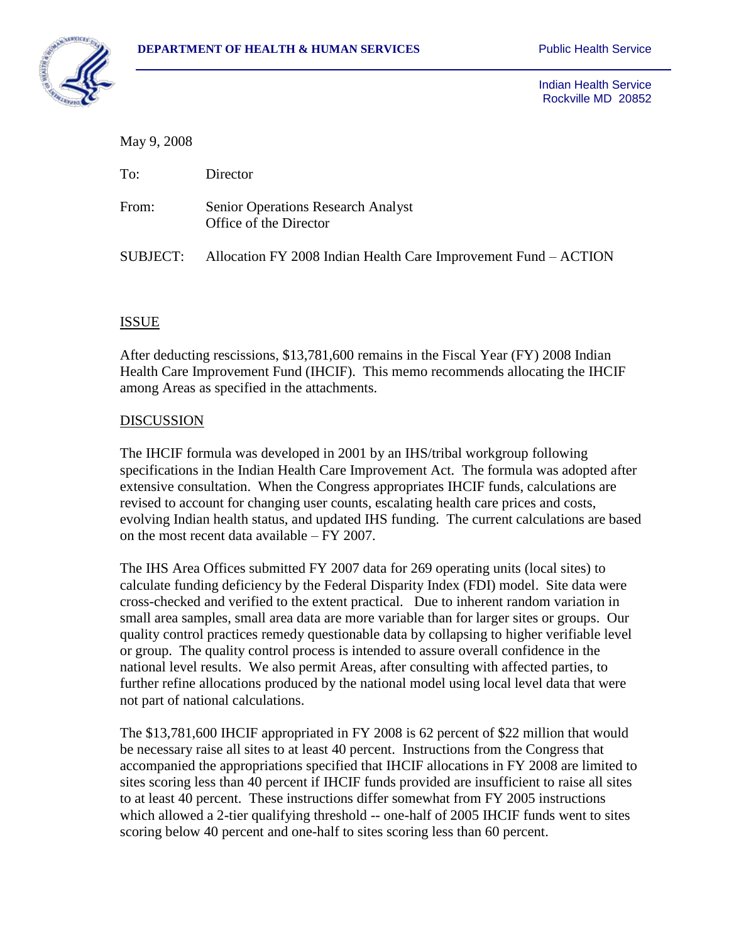

 Indian Health Service Rockville MD 20852

May 9, 2008

| To:      | Director                                                            |
|----------|---------------------------------------------------------------------|
| From:    | <b>Senior Operations Research Analyst</b><br>Office of the Director |
| SUBJECT: | Allocation FY 2008 Indian Health Care Improvement Fund – ACTION     |

## ISSUE

After deducting rescissions, \$13,781,600 remains in the Fiscal Year (FY) 2008 Indian Health Care Improvement Fund (IHCIF). This memo recommends allocating the IHCIF among Areas as specified in the attachments.

### DISCUSSION

The IHCIF formula was developed in 2001 by an IHS/tribal workgroup following specifications in the Indian Health Care Improvement Act. The formula was adopted after extensive consultation. When the Congress appropriates IHCIF funds, calculations are revised to account for changing user counts, escalating health care prices and costs, evolving Indian health status, and updated IHS funding. The current calculations are based on the most recent data available – FY 2007.

The IHS Area Offices submitted FY 2007 data for 269 operating units (local sites) to calculate funding deficiency by the Federal Disparity Index (FDI) model. Site data were cross-checked and verified to the extent practical. Due to inherent random variation in small area samples, small area data are more variable than for larger sites or groups. Our quality control practices remedy questionable data by collapsing to higher verifiable level or group. The quality control process is intended to assure overall confidence in the national level results. We also permit Areas, after consulting with affected parties, to further refine allocations produced by the national model using local level data that were not part of national calculations.

The \$13,781,600 IHCIF appropriated in FY 2008 is 62 percent of \$22 million that would be necessary raise all sites to at least 40 percent. Instructions from the Congress that accompanied the appropriations specified that IHCIF allocations in FY 2008 are limited to sites scoring less than 40 percent if IHCIF funds provided are insufficient to raise all sites to at least 40 percent. These instructions differ somewhat from FY 2005 instructions which allowed a 2-tier qualifying threshold -- one-half of 2005 IHCIF funds went to sites scoring below 40 percent and one-half to sites scoring less than 60 percent.